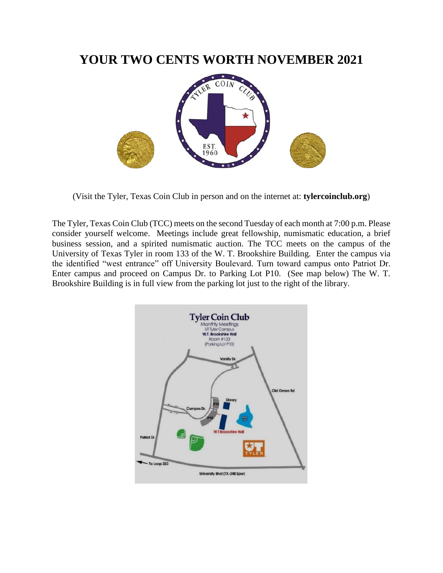## **YOUR TWO CENTS WORTH NOVEMBER 2021**



(Visit the Tyler, Texas Coin Club in person and on the internet at: **tylercoinclub.org**)

The Tyler, Texas Coin Club (TCC) meets on the second Tuesday of each month at 7:00 p.m. Please consider yourself welcome. Meetings include great fellowship, numismatic education, a brief business session, and a spirited numismatic auction. The TCC meets on the campus of the University of Texas Tyler in room 133 of the W. T. Brookshire Building. Enter the campus via the identified "west entrance" off University Boulevard. Turn toward campus onto Patriot Dr. Enter campus and proceed on Campus Dr. to Parking Lot P10. (See map below) The W. T. Brookshire Building is in full view from the parking lot just to the right of the library.

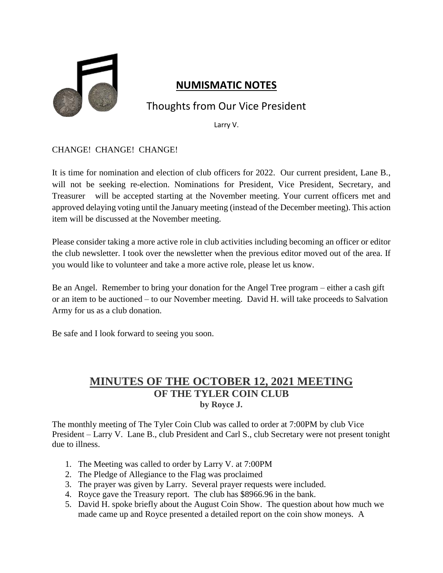

### **NUMISMATIC NOTES**

## Thoughts from Our Vice President

Larry V.

CHANGE! CHANGE! CHANGE!

It is time for nomination and election of club officers for 2022. Our current president, Lane B., will not be seeking re-election. Nominations for President, Vice President, Secretary, and Treasurer will be accepted starting at the November meeting. Your current officers met and approved delaying voting until the January meeting (instead of the December meeting). This action item will be discussed at the November meeting.

Please consider taking a more active role in club activities including becoming an officer or editor the club newsletter. I took over the newsletter when the previous editor moved out of the area. If you would like to volunteer and take a more active role, please let us know.

Be an Angel. Remember to bring your donation for the Angel Tree program – either a cash gift or an item to be auctioned – to our November meeting. David H. will take proceeds to Salvation Army for us as a club donation.

Be safe and I look forward to seeing you soon.

#### **MINUTES OF THE OCTOBER 12, 2021 MEETING OF THE TYLER COIN CLUB by Royce J.**

The monthly meeting of The Tyler Coin Club was called to order at 7:00PM by club Vice President – Larry V. Lane B., club President and Carl S., club Secretary were not present tonight due to illness.

- 1. The Meeting was called to order by Larry V. at 7:00PM
- 2. The Pledge of Allegiance to the Flag was proclaimed
- 3. The prayer was given by Larry. Several prayer requests were included.
- 4. Royce gave the Treasury report. The club has \$8966.96 in the bank.
- 5. David H. spoke briefly about the August Coin Show. The question about how much we made came up and Royce presented a detailed report on the coin show moneys. A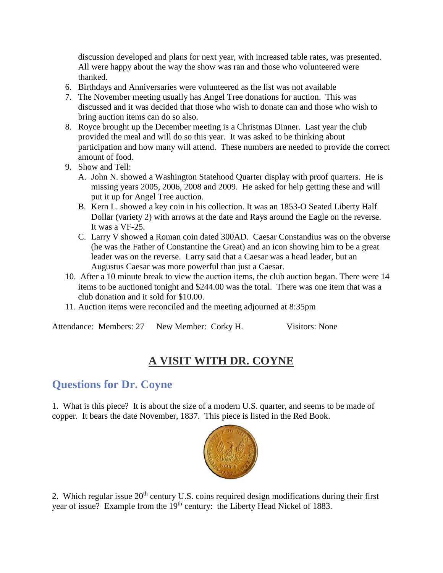discussion developed and plans for next year, with increased table rates, was presented. All were happy about the way the show was ran and those who volunteered were thanked.

- 6. Birthdays and Anniversaries were volunteered as the list was not available
- 7. The November meeting usually has Angel Tree donations for auction. This was discussed and it was decided that those who wish to donate can and those who wish to bring auction items can do so also.
- 8. Royce brought up the December meeting is a Christmas Dinner. Last year the club provided the meal and will do so this year. It was asked to be thinking about participation and how many will attend. These numbers are needed to provide the correct amount of food.
- 9. Show and Tell:
	- A. John N. showed a Washington Statehood Quarter display with proof quarters. He is missing years 2005, 2006, 2008 and 2009. He asked for help getting these and will put it up for Angel Tree auction.
	- B. Kern L. showed a key coin in his collection. It was an 1853-O Seated Liberty Half Dollar (variety 2) with arrows at the date and Rays around the Eagle on the reverse. It was a VF-25.
	- C. Larry V showed a Roman coin dated 300AD. Caesar Constandius was on the obverse (he was the Father of Constantine the Great) and an icon showing him to be a great leader was on the reverse. Larry said that a Caesar was a head leader, but an Augustus Caesar was more powerful than just a Caesar.
- 10. After a 10 minute break to view the auction items, the club auction began. There were 14 items to be auctioned tonight and \$244.00 was the total. There was one item that was a club donation and it sold for \$10.00.
- 11. Auction items were reconciled and the meeting adjourned at 8:35pm

Attendance: Members: 27 New Member: Corky H. Visitors: None

# **A VISIT WITH DR. COYNE**

## **Questions for Dr. Coyne**

1. What is this piece? It is about the size of a modern U.S. quarter, and seems to be made of copper. It bears the date November, 1837. This piece is listed in the Red Book.



2. Which regular issue 20<sup>th</sup> century U.S. coins required design modifications during their first year of issue? Example from the 19<sup>th</sup> century: the Liberty Head Nickel of 1883.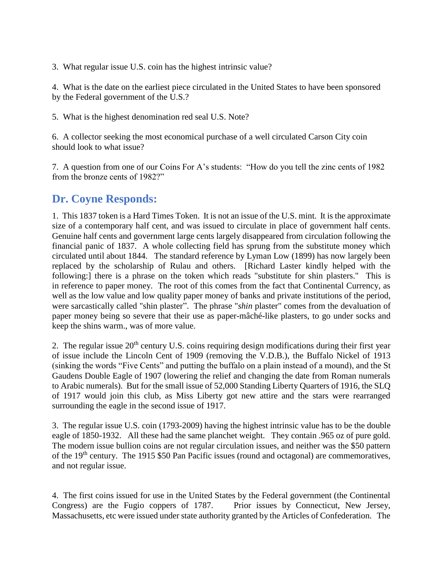3. What regular issue U.S. coin has the highest intrinsic value?

4. What is the date on the earliest piece circulated in the United States to have been sponsored by the Federal government of the U.S.?

5. What is the highest denomination red seal U.S. Note?

6. A collector seeking the most economical purchase of a well circulated Carson City coin should look to what issue?

7. A question from one of our Coins For A's students: "How do you tell the zinc cents of 1982 from the bronze cents of 1982?"

### **Dr. Coyne Responds:**

1. This 1837 token is a Hard Times Token. It is not an issue of the U.S. mint. It is the approximate size of a contemporary half cent, and was issued to circulate in place of government half cents. Genuine half cents and government large cents largely disappeared from circulation following the financial panic of 1837. A whole collecting field has sprung from the substitute money which circulated until about 1844. The standard reference by Lyman Low (1899) has now largely been replaced by the scholarship of Rulau and others. [Richard Laster kindly helped with the following:] there is a phrase on the token which reads "substitute for shin plasters." This is in reference to paper money. The root of this comes from the fact that Continental Currency, as well as the low value and low quality paper money of banks and private institutions of the period, were sarcastically called "shin plaster". The phrase "*shin* plaster" comes from the devaluation of paper money being so severe that their use as paper-mâché-like plasters, to go under socks and keep the shins warm., was of more value.

2. The regular issue  $20<sup>th</sup>$  century U.S. coins requiring design modifications during their first year of issue include the Lincoln Cent of 1909 (removing the V.D.B.), the Buffalo Nickel of 1913 (sinking the words "Five Cents" and putting the buffalo on a plain instead of a mound), and the St Gaudens Double Eagle of 1907 (lowering the relief and changing the date from Roman numerals to Arabic numerals). But for the small issue of 52,000 Standing Liberty Quarters of 1916, the SLQ of 1917 would join this club, as Miss Liberty got new attire and the stars were rearranged surrounding the eagle in the second issue of 1917.

3. The regular issue U.S. coin (1793-2009) having the highest intrinsic value has to be the double eagle of 1850-1932. All these had the same planchet weight. They contain .965 oz of pure gold. The modern issue bullion coins are not regular circulation issues, and neither was the \$50 pattern of the 19th century. The 1915 \$50 Pan Pacific issues (round and octagonal) are commemoratives, and not regular issue.

4. The first coins issued for use in the United States by the Federal government (the Continental Congress) are the Fugio coppers of 1787. Prior issues by Connecticut, New Jersey, Massachusetts, etc were issued under state authority granted by the Articles of Confederation. The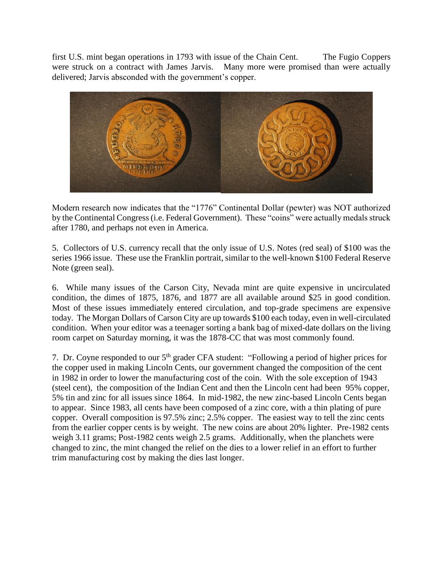first U.S. mint began operations in 1793 with issue of the Chain Cent. The Fugio Coppers were struck on a contract with James Jarvis. Many more were promised than were actually delivered; Jarvis absconded with the government's copper.



Modern research now indicates that the "1776" Continental Dollar (pewter) was NOT authorized by the Continental Congress (i.e. Federal Government). These "coins" were actually medals struck after 1780, and perhaps not even in America.

5. Collectors of U.S. currency recall that the only issue of U.S. Notes (red seal) of \$100 was the series 1966 issue. These use the Franklin portrait, similar to the well-known \$100 Federal Reserve Note (green seal).

6. While many issues of the Carson City, Nevada mint are quite expensive in uncirculated condition, the dimes of 1875, 1876, and 1877 are all available around \$25 in good condition. Most of these issues immediately entered circulation, and top-grade specimens are expensive today. The Morgan Dollars of Carson City are up towards \$100 each today, even in well-circulated condition. When your editor was a teenager sorting a bank bag of mixed-date dollars on the living room carpet on Saturday morning, it was the 1878-CC that was most commonly found.

7. Dr. Coyne responded to our 5<sup>th</sup> grader CFA student: "Following a period of higher prices for the copper used in making Lincoln Cents, our government changed the composition of the cent in 1982 in order to lower the manufacturing cost of the coin. With the sole exception of 1943 (steel cent), the composition of the Indian Cent and then the Lincoln cent had been 95% copper, 5% tin and zinc for all issues since 1864. In mid-1982, the new zinc-based Lincoln Cents began to appear. Since 1983, all cents have been composed of a zinc core, with a thin plating of pure copper. Overall composition is 97.5% zinc; 2.5% copper. The easiest way to tell the zinc cents from the earlier copper cents is by weight. The new coins are about 20% lighter. Pre-1982 cents weigh 3.11 grams; Post-1982 cents weigh 2.5 grams. Additionally, when the planchets were changed to zinc, the mint changed the relief on the dies to a lower relief in an effort to further trim manufacturing cost by making the dies last longer.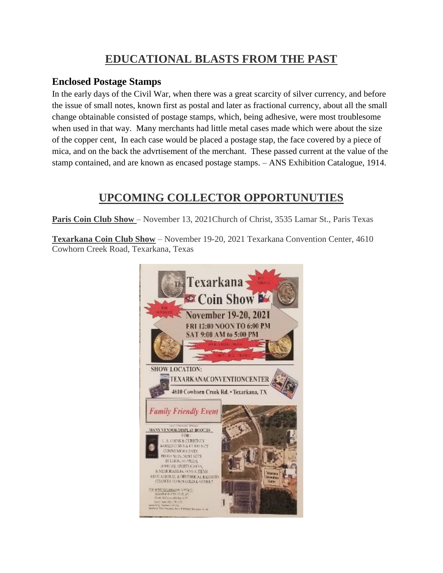## **EDUCATIONAL BLASTS FROM THE PAST**

#### **Enclosed Postage Stamps**

In the early days of the Civil War, when there was a great scarcity of silver currency, and before the issue of small notes, known first as postal and later as fractional currency, about all the small change obtainable consisted of postage stamps, which, being adhesive, were most troublesome when used in that way. Many merchants had little metal cases made which were about the size of the copper cent, In each case would be placed a postage stap, the face covered by a piece of mica, and on the back the advrtisement of the merchant. These passed current at the value of the stamp contained, and are known as encased postage stamps. – ANS Exhibition Catalogue, 1914.

### **UPCOMING COLLECTOR OPPORTUNUTIES**

**Paris Coin Club Show** – November 13, 2021Church of Christ, 3535 Lamar St., Paris Texas

**Texarkana Coin Club Show** – November 19-20, 2021 Texarkana Convention Center, 4610 Cowhorn Creek Road, Texarkana, Texas

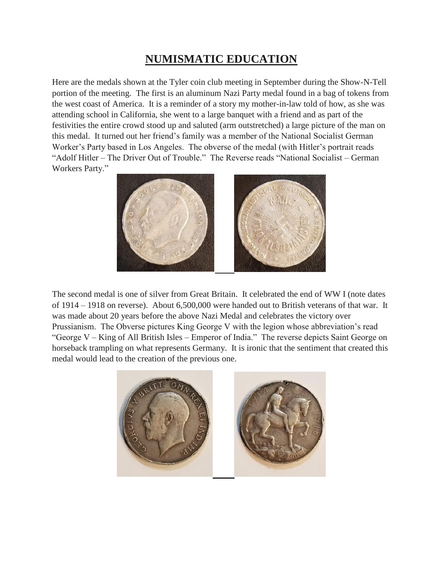# **NUMISMATIC EDUCATION**

Here are the medals shown at the Tyler coin club meeting in September during the Show-N-Tell portion of the meeting. The first is an aluminum Nazi Party medal found in a bag of tokens from the west coast of America. It is a reminder of a story my mother-in-law told of how, as she was attending school in California, she went to a large banquet with a friend and as part of the festivities the entire crowd stood up and saluted (arm outstretched) a large picture of the man on this medal. It turned out her friend's family was a member of the National Socialist German Worker's Party based in Los Angeles. The obverse of the medal (with Hitler's portrait reads "Adolf Hitler – The Driver Out of Trouble." The Reverse reads "National Socialist – German Workers Party."



The second medal is one of silver from Great Britain. It celebrated the end of WW I (note dates of 1914 – 1918 on reverse). About 6,500,000 were handed out to British veterans of that war. It was made about 20 years before the above Nazi Medal and celebrates the victory over Prussianism. The Obverse pictures King George V with the legion whose abbreviation's read "George V – King of All British Isles – Emperor of India." The reverse depicts Saint George on horseback trampling on what represents Germany. It is ironic that the sentiment that created this medal would lead to the creation of the previous one.

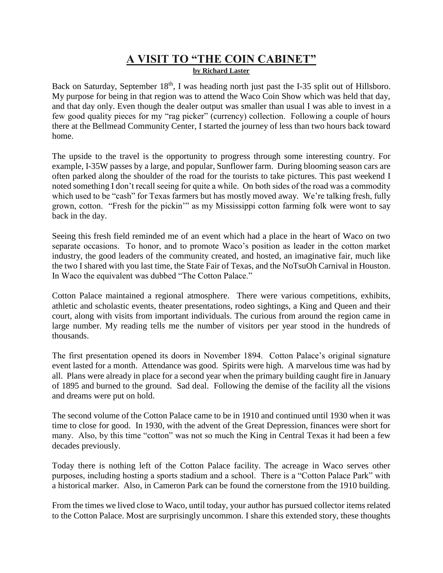#### **A VISIT TO "THE COIN CABINET" by Richard Laster**

Back on Saturday, September 18<sup>th</sup>, I was heading north just past the I-35 split out of Hillsboro. My purpose for being in that region was to attend the Waco Coin Show which was held that day, and that day only. Even though the dealer output was smaller than usual I was able to invest in a few good quality pieces for my "rag picker" (currency) collection. Following a couple of hours there at the Bellmead Community Center, I started the journey of less than two hours back toward home.

The upside to the travel is the opportunity to progress through some interesting country. For example, I-35W passes by a large, and popular, Sunflower farm. During blooming season cars are often parked along the shoulder of the road for the tourists to take pictures. This past weekend I noted something I don't recall seeing for quite a while. On both sides of the road was a commodity which used to be "cash" for Texas farmers but has mostly moved away. We're talking fresh, fully grown, cotton. "Fresh for the pickin'" as my Mississippi cotton farming folk were wont to say back in the day.

Seeing this fresh field reminded me of an event which had a place in the heart of Waco on two separate occasions. To honor, and to promote Waco's position as leader in the cotton market industry, the good leaders of the community created, and hosted, an imaginative fair, much like the two I shared with you last time, the State Fair of Texas, and the NoTsuOh Carnival in Houston. In Waco the equivalent was dubbed "The Cotton Palace."

Cotton Palace maintained a regional atmosphere. There were various competitions, exhibits, athletic and scholastic events, theater presentations, rodeo sightings, a King and Queen and their court, along with visits from important individuals. The curious from around the region came in large number. My reading tells me the number of visitors per year stood in the hundreds of thousands.

The first presentation opened its doors in November 1894. Cotton Palace's original signature event lasted for a month. Attendance was good. Spirits were high. A marvelous time was had by all. Plans were already in place for a second year when the primary building caught fire in January of 1895 and burned to the ground. Sad deal. Following the demise of the facility all the visions and dreams were put on hold.

The second volume of the Cotton Palace came to be in 1910 and continued until 1930 when it was time to close for good. In 1930, with the advent of the Great Depression, finances were short for many. Also, by this time "cotton" was not so much the King in Central Texas it had been a few decades previously.

Today there is nothing left of the Cotton Palace facility. The acreage in Waco serves other purposes, including hosting a sports stadium and a school. There is a "Cotton Palace Park" with a historical marker. Also, in Cameron Park can be found the cornerstone from the 1910 building.

From the times we lived close to Waco, until today, your author has pursued collector items related to the Cotton Palace. Most are surprisingly uncommon. I share this extended story, these thoughts